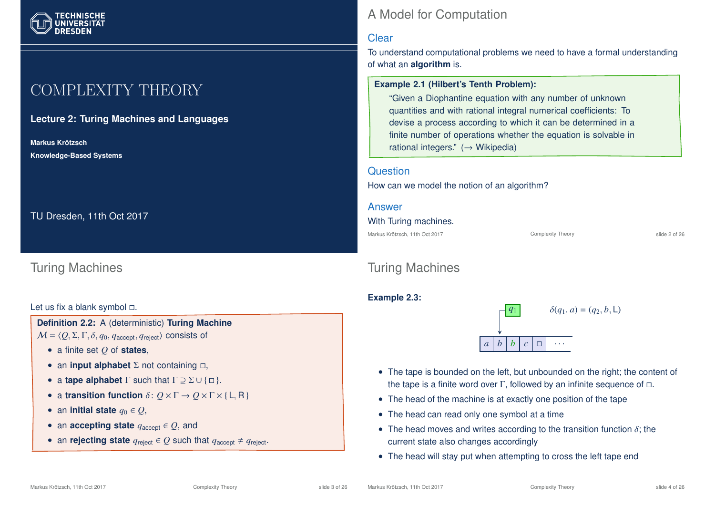# COMPLEXITY THEORY

#### **Lecture 2: Turing Machines and Languages**

**Markus Krotzsch ¨ Knowledge-Based Systems**

TU Dresden, 11th Oct 2017

### Turing Machines

#### Let us fix a blank symbol  $\Box$ .

**Definition 2.2:** A (deterministic) **Turing Machine**  $M = \langle Q, \Sigma, \Gamma, \delta, q_0, q_{\text{accept}}, q_{\text{reject}} \rangle$  consists of

- a finite set *Q* of **states**,
- an **input alphabet**  $\Sigma$  not containing  $\Box$ ,
- a **tape alphabet**  $\Gamma$  such that  $\Gamma \supseteq \Sigma \cup \{\Box\}.$
- a **transition function**  $\delta: Q \times \Gamma \to Q \times \Gamma \times \{L, R\}$
- an **initial state**  $q_0 \in Q$ ,
- an **accepting state**  $q_{\text{accept}} \in Q$ , and
- an **rejecting state**  $q_{\text{reject}} \in Q$  such that  $q_{\text{accept}} \neq q_{\text{reject}}$ .

## A Model for Computation

#### **Clear**

To understand computational problems we need to have a formal understanding of what an **algorithm** is.

#### **Example 2.1 (Hilbert's Tenth Problem):**

"Given a Diophantine equation with any number of unknown quantities and with rational integral numerical coefficients: To devise a process according to which it can be determined in a finite number of operations whether the equation is solvable in rational integers."  $(\rightarrow$  Wikipedia)

#### **Question**

How can we model the notion of an algorithm?

| Answer                         |                          |               |
|--------------------------------|--------------------------|---------------|
| With Turing machines.          |                          |               |
| Markus Krötzsch, 11th Oct 2017 | <b>Complexity Theory</b> | slide 2 of 26 |

## Turing Machines

#### **Example 2.3:**



- The tape is bounded on the left, but unbounded on the right; the content of the tape is a finite word over Γ, followed by an infinite sequence of  $\Box$ .
- The head of the machine is at exactly one position of the tape
- The head can read only one symbol at a time
- The head moves and writes according to the transition function  $\delta$ ; the current state also changes accordingly
- The head will stay put when attempting to cross the left tape end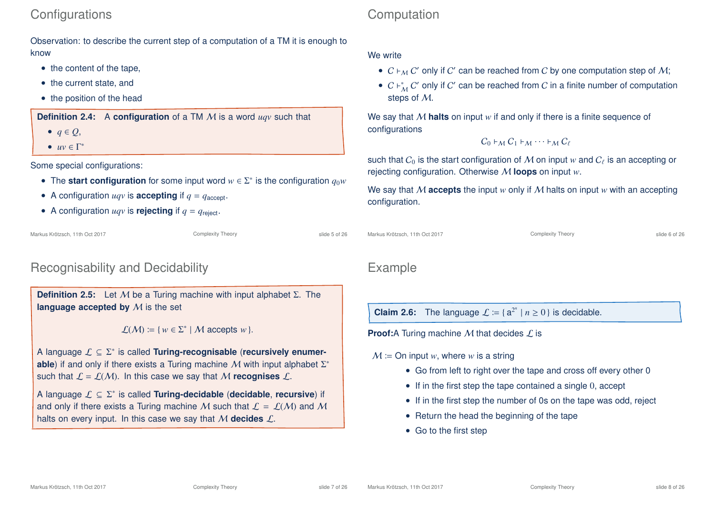### **Configurations**

Observation: to describe the current step of a computation of a TM it is enough to know

- the content of the tape,
- the current state, and
- the position of the head

**Definition 2.4:** A **configuration** of a TM M is a word *uqv* such that

- $\bullet$   $q \in Q$ ,
- $uv \in \Gamma^*$

Some special configurations:

- The **start configuration** for some input word  $w \in \Sigma^*$  is the configuration  $q_0w$
- A configuration  $uqv$  is **accepting** if  $q = q_{\text{accept}}$ .
- A configuration  $uqv$  is **rejecting** if  $q = q_{\text{reject}}$ .

Markus Krötzsch, 11th Oct 2017 **Complexity Theory** Complexity Theory slide 5 of 26

### Recognisability and Decidability

**Definition 2.5:** Let M be a Turing machine with input alphabet Σ. The **language accepted by** M is the set

 $\mathcal{L}(\mathcal{M}) \coloneqq \{ w \in \Sigma^* \mid \mathcal{M} \text{ accepts } w \}.$ 

A language L ⊆ Σ ∗ is called **Turing-recognisable** (**recursively enumerable**) if and only if there exists a Turing machine M with input alphabet Σ<sup>\*</sup> such that  $\mathcal{L} = \mathcal{L}(\mathcal{M})$ . In this case we say that M **recognises**  $\mathcal{L}$ .

A language L ⊆ Σ ∗ is called **Turing-decidable** (**decidable**, **recursive**) if and only if there exists a Turing machine M such that  $\mathcal{L} = \mathcal{L}(\mathcal{M})$  and M halts on every input. In this case we say that M **decides** L.

## **Computation**

#### We write

- $\bullet \enspace C \vdash_{\mathcal{M}} C'$  only if  $C'$  can be reached from  $C$  by one computation step of  $\mathcal{M};$
- $C \nvdash^*_{\mathcal{M}} C'$  only if  $C'$  can be reached from  $C$  in a finite number of computation steps of M.

We say that M **halts** on input *w* if and only if there is a finite sequence of configurations

$$
C_0 \vdash_{\mathcal{M}} C_1 \vdash_{\mathcal{M}} \cdots \vdash_{\mathcal{M}} C_\ell
$$

such that  $C_0$  is the start configuration of  ${\mathcal M}$  on input  $w$  and  $C_\ell$  is an accepting or rejecting configuration. Otherwise M **loops** on input *w*.

We say that M **accepts** the input *w* only if M halts on input *w* with an accepting configuration.

```
Markus Krötzsch, 11th Oct 2017 Complexity Theory Complexity Theory slide 6 of 26
```
### Example

**Claim 2.6:** The language  $\mathcal{L} \coloneqq \{a^{2^n} | n \ge 0\}$  is decidable.

**Proof:**A Turing machine  $M$  that decides  $L$  is

- $M =$  On input *w*, where *w* is a string
	- Go from left to right over the tape and cross off every other 0
	- If in the first step the tape contained a single 0, accept
	- If in the first step the number of 0s on the tape was odd, reject
	- Return the head the beginning of the tape
	- Go to the first step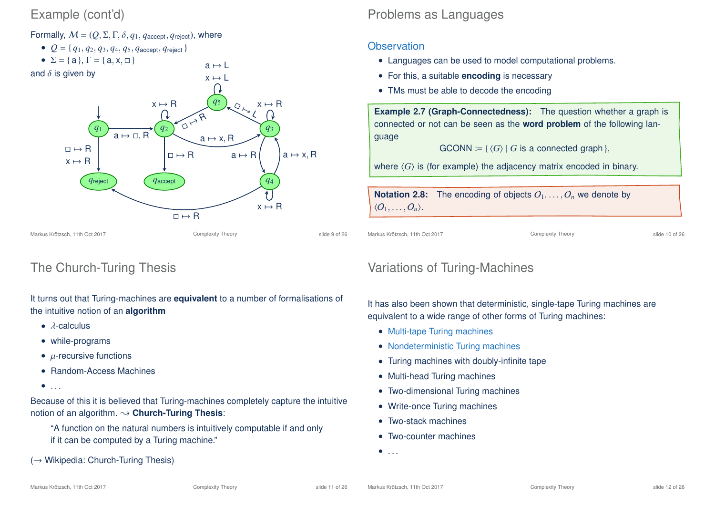### Example (cont'd)

Formally,  $M = (Q, \Sigma, \Gamma, \delta, q_1, q_{\text{accept}}, q_{\text{reject}})$ , where

- $Q = \{q_1, q_2, q_3, q_4, q_5, q_{\text{accept}}, q_{\text{reject}}\}$
- $\Sigma = \{a\}, \Gamma = \{a, x, \Box\}$

and  $\delta$  is given by



 $a \mapsto L$ 

The Church-Turing Thesis

It turns out that Turing-machines are **equivalent** to a number of formalisations of the intuitive notion of an **algorithm**

- $\bullet$   $\lambda$ -calculus
- while-programs
- $\mu$ -recursive functions
- Random-Access Machines
- $\bullet$  . . .

Because of this it is believed that Turing-machines completely capture the intuitive notion of an algorithm.  $\rightarrow$  **Church-Turing Thesis:** 

- "A function on the natural numbers is intuitively computable if and only if it can be computed by a Turing machine."
- (→ Wikipedia: Church-Turing Thesis)

### Problems as Languages

### **Observation**

- Languages can be used to model computational problems.
- For this, a suitable **encoding** is necessary
- TMs must be able to decode the encoding

**Example 2.7 (Graph-Connectedness):** The question whether a graph is connected or not can be seen as the **word problem** of the following language

 $GCONN := \{ \langle G \rangle \mid G$  is a connected graph },

where  $\langle G \rangle$  is (for example) the adjacency matrix encoded in binary.

**Notation 2.8:** The encoding of objects  $O_1, \ldots, O_n$  we denote by  $\langle O_1, \ldots, O_n \rangle$ .

Markus Krötzsch, 11th Oct 2017 **Complexity Theory** Complexity Theory **Complexity Theory** slide 10 of 26

## Variations of Turing-Machines

It has also been shown that deterministic, single-tape Turing machines are equivalent to a wide range of other forms of Turing machines:

- Multi-tape Turing machines
- Nondeterministic Turing machines
- Turing machines with doubly-infinite tape
- Multi-head Turing machines
- Two-dimensional Turing machines
- Write-once Turing machines
- Two-stack machines
- Two-counter machines

 $\bullet$  . . . .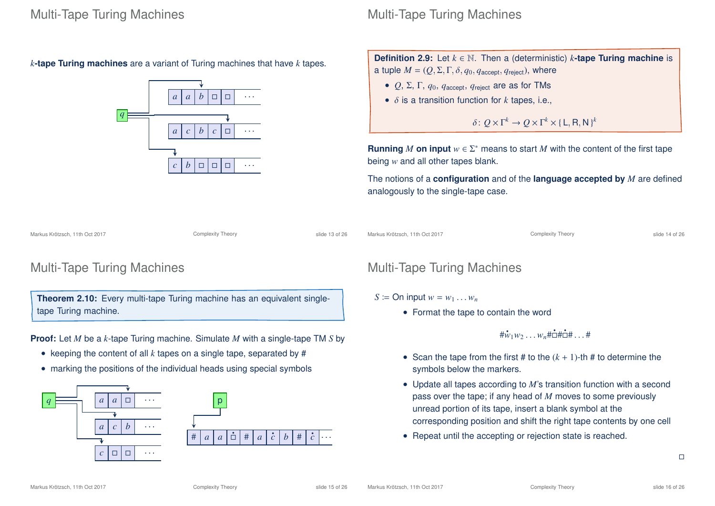*k***-tape Turing machines** are a variant of Turing machines that have *k* tapes.



### Multi-Tape Turing Machines

**Definition 2.9:** Let *k* ∈ N. Then a (deterministic) *k***-tape Turing machine** is a tuple  $M = (Q, \Sigma, \Gamma, \delta, q_0, q_{\text{accept}}, q_{\text{reject}})$ , where

- $Q$ ,  $\Sigma$ ,  $\Gamma$ ,  $q_0$ ,  $q_{\text{accept}}$ ,  $q_{\text{reject}}$  are as for TMs
- δ is a transition function for *k* tapes, i.e.,

 $\delta: Q \times \Gamma^k \to Q \times \Gamma^k \times {\{\text{L}, \text{R}, \text{N}\}}^k$ 

**Running** *M* on input  $w \in \Sigma^*$  means to start *M* with the content of the first tape being *w* and all other tapes blank.

The notions of a **configuration** and of the **language accepted by** *M* are defined analogously to the single-tape case.

Markus Krötzsch, 11th Oct 2017 **Complexity Theory** Complexity Theory slide 13 of 26

Markus Krötzsch, 11th Oct 2017 Complexity Theory slide 14 of 26

### Multi-Tape Turing Machines

**Theorem 2.10:** Every multi-tape Turing machine has an equivalent singletape Turing machine.

**Proof:** Let *M* be a *k*-tape Turing machine. Simulate *M* with a single-tape TM *S* by

- keeping the content of all *k* tapes on a single tape, separated by #
- marking the positions of the individual heads using special symbols





### Multi-Tape Turing Machines

#### $S \coloneqq \text{On input } w = w_1 \dots w_n$

• Format the tape to contain the word

 $\sharp \mathring{w}_1 w_2 \dots w_n \sharp \mathring{\Box} \sharp \mathring{\Box} \sharp \dots \sharp$ 

- Scan the tape from the first # to the  $(k + 1)$ -th # to determine the symbols below the markers.
- Update all tapes according to *M*'s transition function with a second pass over the tape; if any head of *M* moves to some previously unread portion of its tape, insert a blank symbol at the corresponding position and shift the right tape contents by one cell
- Repeat until the accepting or rejection state is reached.

 $\Box$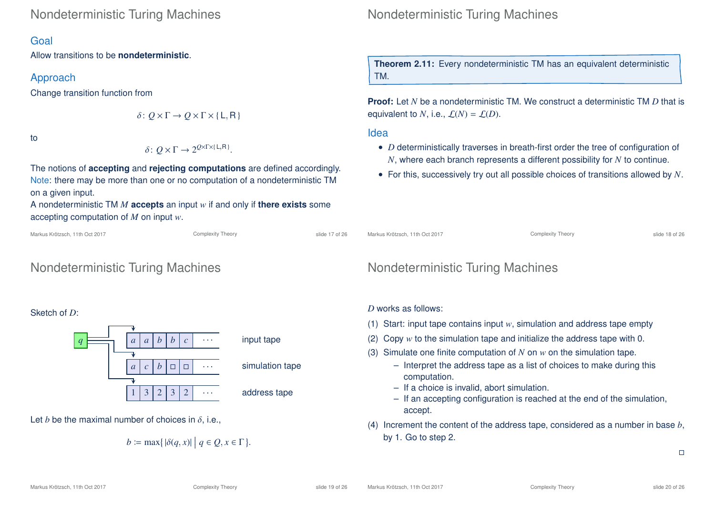### Nondeterministic Turing Machines

#### Goal

Allow transitions to be **nondeterministic**.

#### Approach

Change transition function from

$$
\delta\colon Q\times\Gamma\to Q\times\Gamma\times\{\mathsf{L},\mathsf{R}\}
$$

to

$$
\delta\colon Q\times\Gamma\to 2^{Q\times\Gamma\times\{\mathsf{L},\mathsf{R}\}}.
$$

The notions of **accepting** and **rejecting computations** are defined accordingly. Note: there may be more than one or no computation of a nondeterministic TM on a given input.

A nondeterministic TM *M* **accepts** an input *w* if and only if **there exists** some accepting computation of *M* on input *w*.

Complexity Theory slide 17 of 26

## Nondeterministic Turing Machines

#### Sketch of *D*:





#### simulation tape

address tape

Let *b* be the maximal number of choices in  $\delta$ , i.e.,

$$
b \coloneqq \max\{|\delta(q, x)| \mid q \in Q, x \in \Gamma\}.
$$

Nondeterministic Turing Machines

**Theorem 2.11:** Every nondeterministic TM has an equivalent deterministic TM.

**Proof:** Let *N* be a nondeterministic TM. We construct a deterministic TM *D* that is equivalent to *N*, i.e.,  $\mathcal{L}(N) = \mathcal{L}(D)$ .

Idea

- *D* deterministically traverses in breath-first order the tree of configuration of *N*, where each branch represents a different possibility for *N* to continue.
- For this, successively try out all possible choices of transitions allowed by *N*.

Markus Krötzsch, 11th Oct 2017 **Complexity Theory** Complexity Theory slide 18 of 26

## Nondeterministic Turing Machines

#### *D* works as follows:

- (1) Start: input tape contains input *w*, simulation and address tape empty
- (2) Copy *w* to the simulation tape and initialize the address tape with 0.
- (3) Simulate one finite computation of *N* on *w* on the simulation tape.
	- Interpret the address tape as a list of choices to make during this computation.
	- If a choice is invalid, abort simulation.
	- If an accepting configuration is reached at the end of the simulation, accept.
- (4) Increment the content of the address tape, considered as a number in base *b*, by 1. Go to step 2.

 $\Box$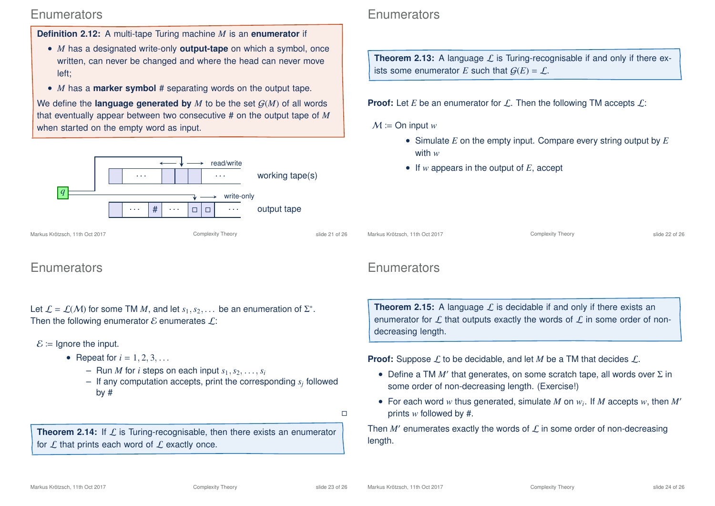### **Enumerators**

**Definition 2.12:** A multi-tape Turing machine *M* is an **enumerator** if

- *M* has a designated write-only **output-tape** on which a symbol, once written, can never be changed and where the head can never move left;
- *M* has a **marker symbol** # separating words on the output tape.

We define the **language generated by**  $M$  to be the set  $G(M)$  of all words that eventually appear between two consecutive # on the output tape of *M* when started on the empty word as input.



### **Enumerators**

Let  $\mathcal{L} = \mathcal{L}(\mathcal{M})$  for some TM  $M$ , and let  $s_1, s_2, \ldots$  be an enumeration of  $\Sigma^*$ . Then the following enumerator  $\mathcal E$  enumerates  $\mathcal L$ :

 $\mathcal{E}$  = Ignore the input.

- Repeat for  $i = 1, 2, 3, ...$ 
	- $-$  Run *M* for *i* steps on each input  $s_1, s_2, \ldots, s_i$
	- If any computation accepts, print the corresponding *s<sup>j</sup>* followed by #
		- $\Box$

**Theorem 2.14:** If L is Turing-recognisable, then there exists an enumerator for  $\mathcal L$  that prints each word of  $\mathcal L$  exactly once.

### **Enumerators**

**Theorem 2.13:** A language  $\mathcal{L}$  is Turing-recognisable if and only if there exists some enumerator *E* such that  $G(E) = \mathcal{L}$ .

**Proof:** Let *E* be an enumerator for  $\mathcal{L}$ . Then the following TM accepts  $\mathcal{L}$ :

#### $M \coloneqq \text{On input } w$

- Simulate *E* on the empty input. Compare every string output by *E* with *w*
- If *w* appears in the output of *E*, accept

Markus Krötzsch, 11th Oct 2017 **Complexity Theory** Complexity Theory **Complexity Theory** slide 22 of 26

### **Enumerators**

**Theorem 2.15:** A language  $\mathcal{L}$  is decidable if and only if there exists an enumerator for  $\mathcal L$  that outputs exactly the words of  $\mathcal L$  in some order of nondecreasing length.

**Proof:** Suppose  $\mathcal{L}$  to be decidable, and let *M* be a TM that decides  $\mathcal{L}$ .

- Define a TM  $M'$  that generates, on some scratch tape, all words over  $\Sigma$  in some order of non-decreasing length. (Exercise!)
- For each word  $w$  thus generated, simulate  $M$  on  $w_i$ . If  $M$  accepts  $w$ , then  $M'$ prints *w* followed by #.

Then  $M'$  enumerates exactly the words of  ${\cal L}$  in some order of non-decreasing length.